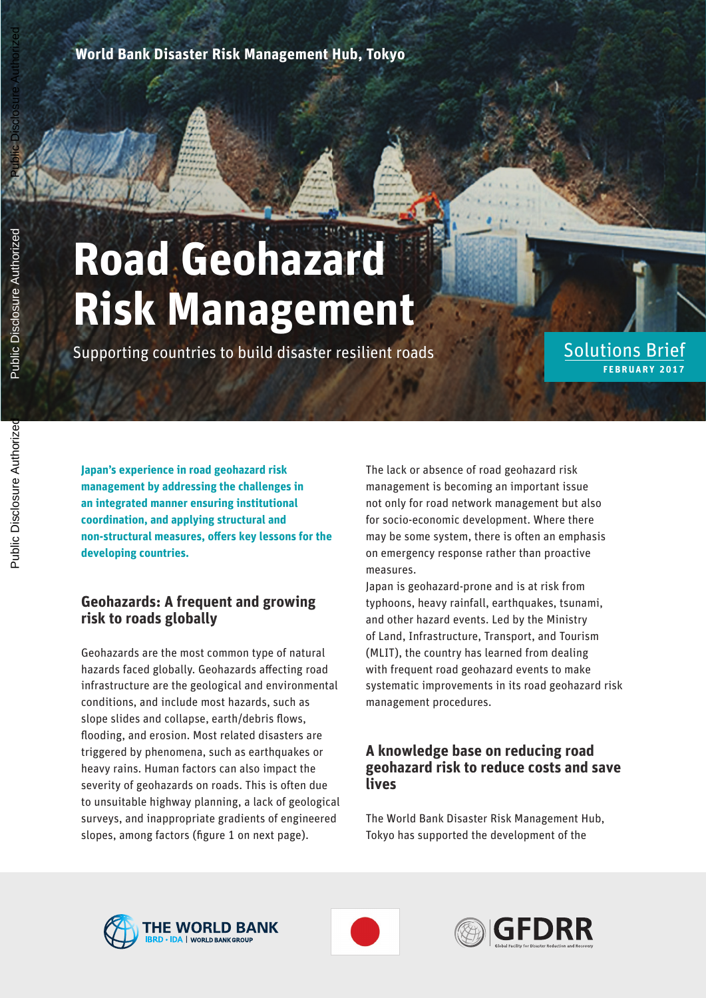**World Bank Disaster Risk Management Hub, Tokyo**

# **Road Geohazard Risk Management**

Supporting countries to build disaster resilient roads

## **FEBRUARY 2017** Solutions Brief

**Japan's experience in road geohazard risk management by addressing the challenges in an integrated manner ensuring institutional coordination, and applying structural and**  non-structural measures, offers key lessons for the **developing countries.** 

## **Geohazards: A frequent and growing risk to roads globally**

Geohazards are the most common type of natural hazards faced globally. Geohazards affecting road infrastructure are the geological and environmental conditions, and include most hazards, such as slope slides and collapse, earth/debris flows, flooding, and erosion. Most related disasters are triggered by phenomena, such as earthquakes or heavy rains. Human factors can also impact the severity of geohazards on roads. This is often due to unsuitable highway planning, a lack of geological surveys, and inappropriate gradients of engineered slopes, among factors (figure 1 on next page).

The lack or absence of road geohazard risk management is becoming an important issue not only for road network management but also for socio-economic development. Where there may be some system, there is often an emphasis on emergency response rather than proactive measures.

Japan is geohazard-prone and is at risk from typhoons, heavy rainfall, earthquakes, tsunami, and other hazard events. Led by the Ministry of Land, Infrastructure, Transport, and Tourism (MLIT), the country has learned from dealing with frequent road geohazard events to make systematic improvements in its road geohazard risk management procedures.

## **A knowledge base on reducing road geohazard risk to reduce costs and save lives**

The World Bank Disaster Risk Management Hub, Tokyo has supported the development of the







Public Disclosure Authorized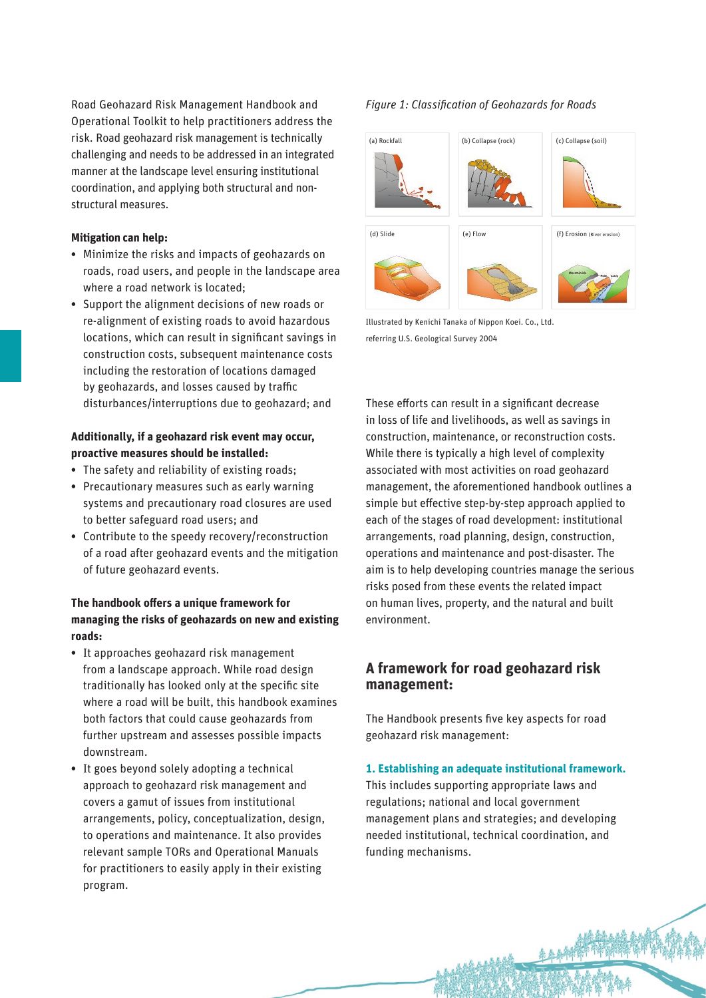Road Geohazard Risk Management Handbook and Operational Toolkit to help practitioners address the risk. Road geohazard risk management is technically challenging and needs to be addressed in an integrated manner at the landscape level ensuring institutional coordination, and applying both structural and nonstructural measures.

#### **Mitigation can help:**

- Minimize the risks and impacts of geohazards on roads, road users, and people in the landscape area where a road network is located;
- Support the alignment decisions of new roads or re-alignment of existing roads to avoid hazardous locations, which can result in significant savings in construction costs, subsequent maintenance costs including the restoration of locations damaged by geohazards, and losses caused by traffic disturbances/interruptions due to geohazard; and

#### **Additionally, if a geohazard risk event may occur, proactive measures should be installed:**

- The safety and reliability of existing roads;
- Precautionary measures such as early warning systems and precautionary road closures are used to better safeguard road users; and
- Contribute to the speedy recovery/reconstruction of a road after geohazard events and the mitigation of future geohazard events.

### **The handbook offers a unique framework for managing the risks of geohazards on new and existing roads:**

- It approaches geohazard risk management from a landscape approach. While road design traditionally has looked only at the specific site where a road will be built, this handbook examines both factors that could cause geohazards from further upstream and assesses possible impacts downstream.
- It goes beyond solely adopting a technical approach to geohazard risk management and covers a gamut of issues from institutional arrangements, policy, conceptualization, design, to operations and maintenance. It also provides relevant sample TORs and Operational Manuals for practitioners to easily apply in their existing program.

#### *Figure 1: Classifi cation of Geohazards for Roads*



Illustrated by Kenichi Tanaka of Nippon Koei. Co., Ltd. referring U.S. Geological Survey 2004

These efforts can result in a significant decrease in loss of life and livelihoods, as well as savings in construction, maintenance, or reconstruction costs. While there is typically a high level of complexity associated with most activities on road geohazard management, the aforementioned handbook outlines a simple but effective step-by-step approach applied to each of the stages of road development: institutional arrangements, road planning, design, construction, operations and maintenance and post-disaster. The aim is to help developing countries manage the serious risks posed from these events the related impact on human lives, property, and the natural and built environment.

## **A framework for road geohazard risk management:**

The Handbook presents five key aspects for road geohazard risk management:

#### **1. Establishing an adequate institutional framework.**

This includes supporting appropriate laws and regulations; national and local government management plans and strategies; and developing needed institutional, technical coordination, and funding mechanisms.

、<br>**本品条本条条条条**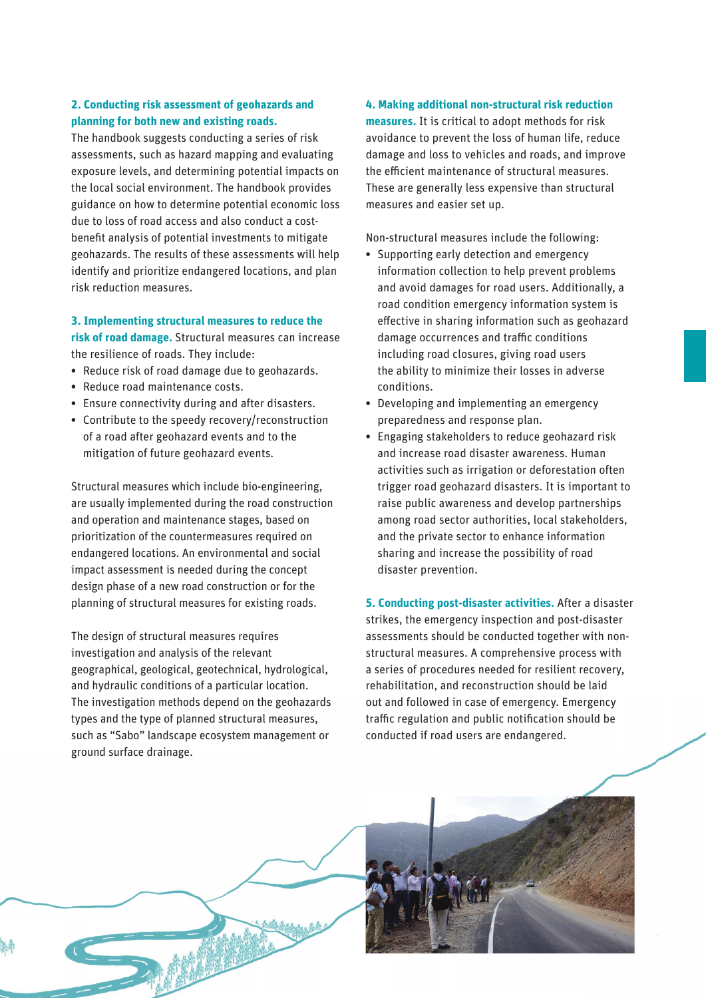#### **2. Conducting risk assessment of geohazards and planning for both new and existing roads.**

The handbook suggests conducting a series of risk assessments, such as hazard mapping and evaluating exposure levels, and determining potential impacts on the local social environment. The handbook provides guidance on how to determine potential economic loss due to loss of road access and also conduct a costbenefit analysis of potential investments to mitigate geohazards. The results of these assessments will help identify and prioritize endangered locations, and plan risk reduction measures.

#### **3. Implementing structural measures to reduce the risk of road damage.** Structural measures can increase the resilience of roads. They include:

- Reduce risk of road damage due to geohazards.
- Reduce road maintenance costs.
- Ensure connectivity during and after disasters.
- Contribute to the speedy recovery/reconstruction of a road after geohazard events and to the mitigation of future geohazard events.

Structural measures which include bio-engineering, are usually implemented during the road construction and operation and maintenance stages, based on prioritization of the countermeasures required on endangered locations. An environmental and social impact assessment is needed during the concept design phase of a new road construction or for the planning of structural measures for existing roads.

The design of structural measures requires investigation and analysis of the relevant geographical, geological, geotechnical, hydrological, and hydraulic conditions of a particular location. The investigation methods depend on the geohazards types and the type of planned structural measures, such as "Sabo" landscape ecosystem management or ground surface drainage.

#### **4. Making additional non-structural risk reduction**

**measures.** It is critical to adopt methods for risk avoidance to prevent the loss of human life, reduce damage and loss to vehicles and roads, and improve the efficient maintenance of structural measures. These are generally less expensive than structural measures and easier set up.

Non-structural measures include the following:

- Supporting early detection and emergency information collection to help prevent problems and avoid damages for road users. Additionally, a road condition emergency information system is effective in sharing information such as geohazard damage occurrences and traffic conditions including road closures, giving road users the ability to minimize their losses in adverse conditions.
- Developing and implementing an emergency preparedness and response plan.
- Engaging stakeholders to reduce geohazard risk and increase road disaster awareness. Human activities such as irrigation or deforestation often trigger road geohazard disasters. It is important to raise public awareness and develop partnerships among road sector authorities, local stakeholders, and the private sector to enhance information sharing and increase the possibility of road disaster prevention.

**5. Conducting post-disaster activities.** After a disaster strikes, the emergency inspection and post-disaster assessments should be conducted together with nonstructural measures. A comprehensive process with a series of procedures needed for resilient recovery, rehabilitation, and reconstruction should be laid out and followed in case of emergency. Emergency traffic regulation and public notification should be conducted if road users are endangered.